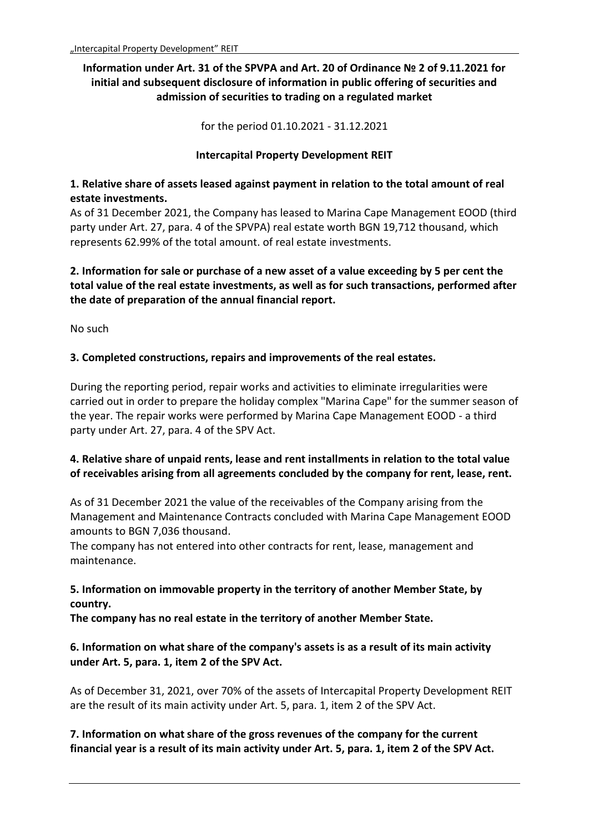# **Information under Art. 31 of the SPVPA and Art. 20 of Ordinance № 2 of 9.11.2021 for initial and subsequent disclosure of information in public offering of securities and admission of securities to trading on a regulated market**

for the period 01.10.2021 - 31.12.2021

#### **Intercapital Property Development REIT**

### **1. Relative share of assets leased against payment in relation to the total amount of real estate investments.**

As of 31 December 2021, the Company has leased to Marina Cape Management EOOD (third party under Art. 27, para. 4 of the SPVPA) real estate worth BGN 19,712 thousand, which represents 62.99% of the total amount. of real estate investments.

**2. Information for sale or purchase of a new asset of a value exceeding by 5 per cent the total value of the real estate investments, as well as for such transactions, performed after the date of preparation of the annual financial report.**

No such

### **3. Completed constructions, repairs and improvements of the real estates.**

During the reporting period, repair works and activities to eliminate irregularities were carried out in order to prepare the holiday complex "Marina Cape" for the summer season of the year. The repair works were performed by Marina Cape Management EOOD - a third party under Art. 27, para. 4 of the SPV Act.

## **4. Relative share of unpaid rents, lease and rent installments in relation to the total value of receivables arising from all agreements concluded by the company for rent, lease, rent.**

As of 31 December 2021 the value of the receivables of the Company arising from the Management and Maintenance Contracts concluded with Marina Cape Management EOOD amounts to BGN 7,036 thousand.

The company has not entered into other contracts for rent, lease, management and maintenance.

## **5. Information on immovable property in the territory of another Member State, by country.**

**The company has no real estate in the territory of another Member State.**

## **6. Information on what share of the company's assets is as a result of its main activity under Art. 5, para. 1, item 2 of the SPV Act.**

As of December 31, 2021, over 70% of the assets of Intercapital Property Development REIT are the result of its main activity under Art. 5, para. 1, item 2 of the SPV Act.

**7. Information on what share of the gross revenues of the company for the current financial year is a result of its main activity under Art. 5, para. 1, item 2 of the SPV Act.**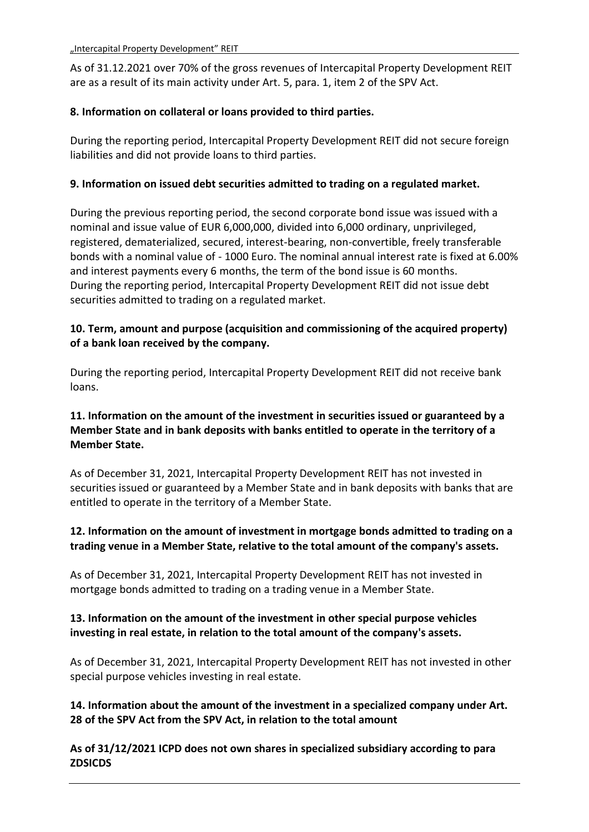As of 31.12.2021 over 70% of the gross revenues of Intercapital Property Development REIT are as a result of its main activity under Art. 5, para. 1, item 2 of the SPV Act.

### **8. Information on collateral or loans provided to third parties.**

During the reporting period, Intercapital Property Development REIT did not secure foreign liabilities and did not provide loans to third parties.

### **9. Information on issued debt securities admitted to trading on a regulated market.**

During the previous reporting period, the second corporate bond issue was issued with a nominal and issue value of EUR 6,000,000, divided into 6,000 ordinary, unprivileged, registered, dematerialized, secured, interest-bearing, non-convertible, freely transferable bonds with a nominal value of - 1000 Euro. The nominal annual interest rate is fixed at 6.00% and interest payments every 6 months, the term of the bond issue is 60 months. During the reporting period, Intercapital Property Development REIT did not issue debt securities admitted to trading on a regulated market.

## **10. Term, amount and purpose (acquisition and commissioning of the acquired property) of a bank loan received by the company.**

During the reporting period, Intercapital Property Development REIT did not receive bank loans.

# **11. Information on the amount of the investment in securities issued or guaranteed by a Member State and in bank deposits with banks entitled to operate in the territory of a Member State.**

As of December 31, 2021, Intercapital Property Development REIT has not invested in securities issued or guaranteed by a Member State and in bank deposits with banks that are entitled to operate in the territory of a Member State.

## **12. Information on the amount of investment in mortgage bonds admitted to trading on a trading venue in a Member State, relative to the total amount of the company's assets.**

As of December 31, 2021, Intercapital Property Development REIT has not invested in mortgage bonds admitted to trading on a trading venue in a Member State.

## **13. Information on the amount of the investment in other special purpose vehicles investing in real estate, in relation to the total amount of the company's assets.**

As of December 31, 2021, Intercapital Property Development REIT has not invested in other special purpose vehicles investing in real estate.

# **14. Information about the amount of the investment in a specialized company under Art. 28 of the SPV Act from the SPV Act, in relation to the total amount**

**As of 31/12/2021 ICPD does not own shares in specialized subsidiary according to para ZDSICDS**